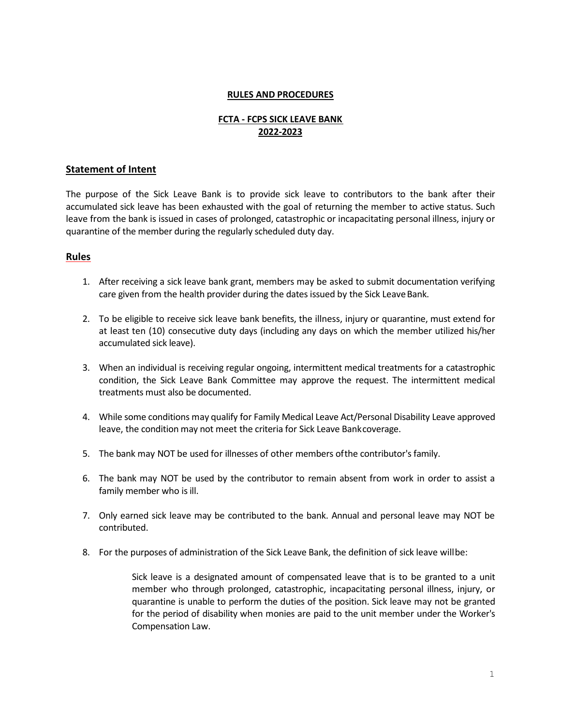### **RULES AND PROCEDURES**

# **FCTA - FCPS SICK LEAVE BANK 2022-2023**

# **Statement of Intent**

The purpose of the Sick Leave Bank is to provide sick leave to contributors to the bank after their accumulated sick leave has been exhausted with the goal of returning the member to active status. Such leave from the bank is issued in cases of prolonged, catastrophic or incapacitating personal illness, injury or quarantine of the member during the regularly scheduled duty day.

## **Rules**

- 1. After receiving a sick leave bank grant, members may be asked to submit documentation verifying care given from the health provider during the dates issued by the Sick Leave Bank.
- 2. To be eligible to receive sick leave bank benefits, the illness, injury or quarantine, must extend for at least ten (10) consecutive duty days (including any days on which the member utilized his/her accumulated sick leave).
- 3. When an individual is receiving regular ongoing, intermittent medical treatments for a catastrophic condition, the Sick Leave Bank Committee may approve the request. The intermittent medical treatments must also be documented.
- 4. While some conditions may qualify for Family Medical Leave Act/Personal Disability Leave approved leave, the condition may not meet the criteria for Sick Leave Bankcoverage.
- 5. The bank may NOT be used for illnesses of other members ofthe contributor's family.
- 6. The bank may NOT be used by the contributor to remain absent from work in order to assist a family member who is ill.
- 7. Only earned sick leave may be contributed to the bank. Annual and personal leave may NOT be contributed.
- 8. For the purposes of administration of the Sick Leave Bank, the definition of sick leave willbe:

Sick leave is a designated amount of compensated leave that is to be granted to a unit member who through prolonged, catastrophic, incapacitating personal illness, injury, or quarantine is unable to perform the duties of the position. Sick leave may not be granted for the period of disability when monies are paid to the unit member under the Worker's Compensation Law.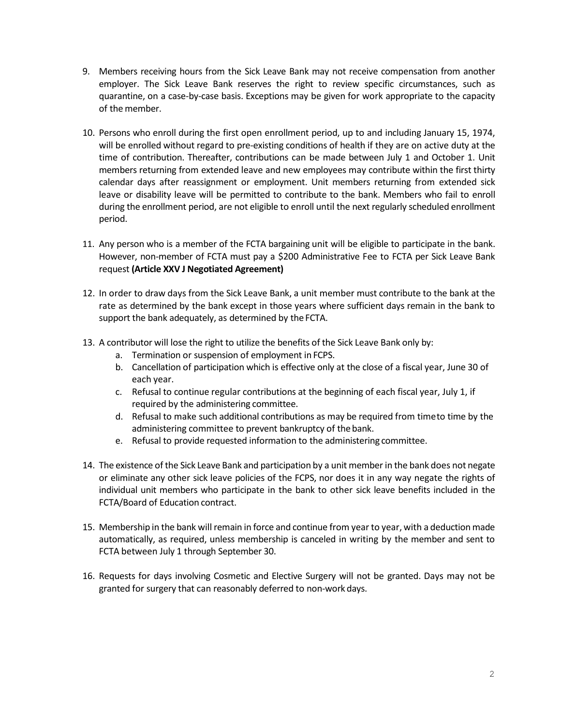- 9. Members receiving hours from the Sick Leave Bank may not receive compensation from another employer. The Sick Leave Bank reserves the right to review specific circumstances, such as quarantine, on a case-by-case basis. Exceptions may be given for work appropriate to the capacity of the member.
- 10. Persons who enroll during the first open enrollment period, up to and including January 15, 1974, will be enrolled without regard to pre-existing conditions of health if they are on active duty at the time of contribution. Thereafter, contributions can be made between July 1 and October 1. Unit members returning from extended leave and new employees may contribute within the first thirty calendar days after reassignment or employment. Unit members returning from extended sick leave or disability leave will be permitted to contribute to the bank. Members who fail to enroll during the enrollment period, are not eligible to enroll until the next regularly scheduled enrollment period.
- 11. Any person who is a member of the FCTA bargaining unit will be eligible to participate in the bank. However, non-member of FCTA must pay a \$200 Administrative Fee to FCTA per Sick Leave Bank request **(Article XXV J Negotiated Agreement)**
- 12. In order to draw days from the Sick Leave Bank, a unit member must contribute to the bank at the rate as determined by the bank except in those years where sufficient days remain in the bank to support the bank adequately, as determined by the FCTA.
- 13. A contributor will lose the right to utilize the benefits of the Sick Leave Bank only by:
	- a. Termination or suspension of employment in FCPS.
	- b. Cancellation of participation which is effective only at the close of a fiscal year, June 30 of each year.
	- c. Refusal to continue regular contributions at the beginning of each fiscal year, July 1, if required by the administering committee.
	- d. Refusal to make such additional contributions as may be required from timeto time by the administering committee to prevent bankruptcy of the bank.
	- e. Refusal to provide requested information to the administering committee.
- 14. The existence of the Sick Leave Bank and participation by a unit memberin the bank does not negate or eliminate any other sick leave policies of the FCPS, nor does it in any way negate the rights of individual unit members who participate in the bank to other sick leave benefits included in the FCTA/Board of Education contract.
- 15. Membership in the bank will remain in force and continue from year to year, with a deductionmade automatically, as required, unless membership is canceled in writing by the member and sent to FCTA between July 1 through September 30.
- 16. Requests for days involving Cosmetic and Elective Surgery will not be granted. Days may not be granted for surgery that can reasonably deferred to non-work days.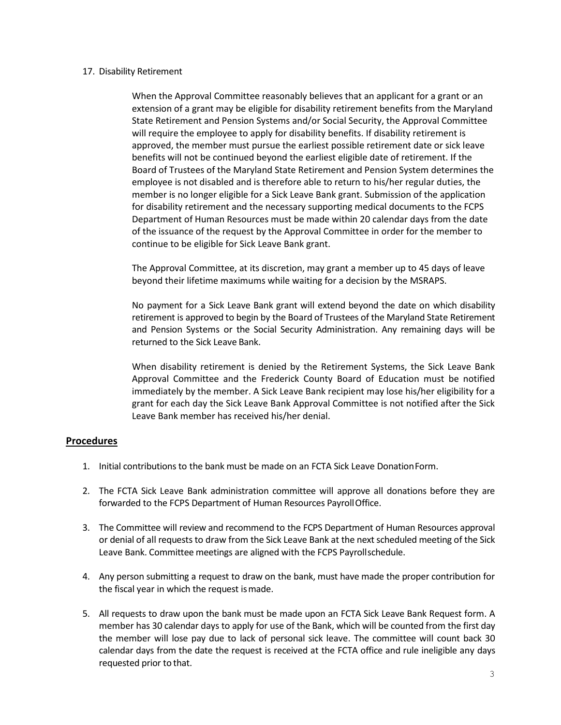#### 17. Disability Retirement

When the Approval Committee reasonably believes that an applicant for a grant or an extension of a grant may be eligible for disability retirement benefits from the Maryland State Retirement and Pension Systems and/or Social Security, the Approval Committee will require the employee to apply for disability benefits. If disability retirement is approved, the member must pursue the earliest possible retirement date or sick leave benefits will not be continued beyond the earliest eligible date of retirement. If the Board of Trustees of the Maryland State Retirement and Pension System determines the employee is not disabled and is therefore able to return to his/her regular duties, the member is no longer eligible for a Sick Leave Bank grant. Submission of the application for disability retirement and the necessary supporting medical documents to the FCPS Department of Human Resources must be made within 20 calendar days from the date of the issuance of the request by the Approval Committee in order for the member to continue to be eligible for Sick Leave Bank grant.

The Approval Committee, at its discretion, may grant a member up to 45 days of leave beyond their lifetime maximums while waiting for a decision by the MSRAPS.

No payment for a Sick Leave Bank grant will extend beyond the date on which disability retirement is approved to begin by the Board of Trustees of the Maryland State Retirement and Pension Systems or the Social Security Administration. Any remaining days will be returned to the Sick Leave Bank.

When disability retirement is denied by the Retirement Systems, the Sick Leave Bank Approval Committee and the Frederick County Board of Education must be notified immediately by the member. A Sick Leave Bank recipient may lose his/her eligibility for a grant for each day the Sick Leave Bank Approval Committee is not notified after the Sick Leave Bank member has received his/her denial.

## **Procedures**

- 1. Initial contributions to the bank must be made on an FCTA Sick Leave DonationForm.
- 2. The FCTA Sick Leave Bank administration committee will approve all donations before they are forwarded to the FCPS Department of Human Resources PayrollOffice.
- 3. The Committee will review and recommend to the FCPS Department of Human Resources approval or denial of all requests to draw from the Sick Leave Bank at the next scheduled meeting of the Sick Leave Bank. Committee meetings are aligned with the FCPS Payrollschedule.
- 4. Any person submitting a request to draw on the bank, must have made the proper contribution for the fiscal year in which the request ismade.
- 5. All requests to draw upon the bank must be made upon an FCTA Sick Leave Bank Request form. A member has 30 calendar days to apply for use of the Bank, which will be counted from the first day the member will lose pay due to lack of personal sick leave. The committee will count back 30 calendar days from the date the request is received at the FCTA office and rule ineligible any days requested prior to that.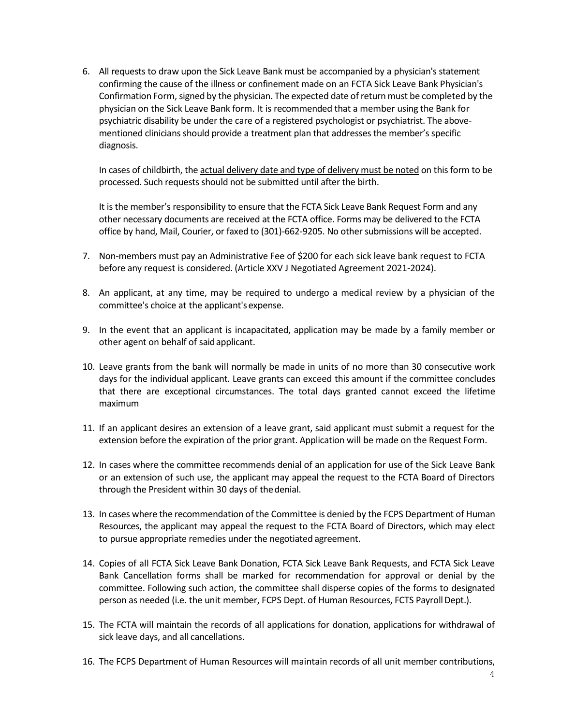6. All requests to draw upon the Sick Leave Bank must be accompanied by a physician's statement confirming the cause of the illness or confinement made on an FCTA Sick Leave Bank Physician's Confirmation Form, signed by the physician. The expected date of return must be completed by the physician on the Sick Leave Bank form. It is recommended that a member using the Bank for psychiatric disability be under the care of a registered psychologist or psychiatrist. The abovementioned clinicians should provide a treatment plan that addresses the member's specific diagnosis.

In cases of childbirth, the actual delivery date and type of delivery must be noted on this form to be processed. Such requests should not be submitted until after the birth.

It is the member's responsibility to ensure that the FCTA Sick Leave Bank Request Form and any other necessary documents are received at the FCTA office. Forms may be delivered to the FCTA office by hand, Mail, Courier, or faxed to (301)-662-9205. No other submissions will be accepted.

- 7. Non-members must pay an Administrative Fee of \$200 for each sick leave bank request to FCTA before any request is considered. (Article XXV J Negotiated Agreement 2021-2024).
- 8. An applicant, at any time, may be required to undergo a medical review by a physician of the committee's choice at the applicant's expense.
- 9. In the event that an applicant is incapacitated, application may be made by a family member or other agent on behalf of saidapplicant.
- 10. Leave grants from the bank will normally be made in units of no more than 30 consecutive work days for the individual applicant. Leave grants can exceed this amount if the committee concludes that there are exceptional circumstances. The total days granted cannot exceed the lifetime maximum
- 11. If an applicant desires an extension of a leave grant, said applicant must submit a request for the extension before the expiration of the prior grant. Application will be made on the Request Form.
- 12. In cases where the committee recommends denial of an application for use of the Sick Leave Bank or an extension of such use, the applicant may appeal the request to the FCTA Board of Directors through the President within 30 days of thedenial.
- 13. In cases where the recommendation of the Committee is denied by the FCPS Department of Human Resources, the applicant may appeal the request to the FCTA Board of Directors, which may elect to pursue appropriate remedies under the negotiated agreement.
- 14. Copies of all FCTA Sick Leave Bank Donation, FCTA Sick Leave Bank Requests, and FCTA Sick Leave Bank Cancellation forms shall be marked for recommendation for approval or denial by the committee. Following such action, the committee shall disperse copies of the forms to designated person as needed (i.e. the unit member, FCPS Dept. of Human Resources, FCTS Payroll Dept.).
- 15. The FCTA will maintain the records of all applications for donation, applications for withdrawal of sick leave days, and all cancellations.
- 16. The FCPS Department of Human Resources will maintain records of all unit member contributions,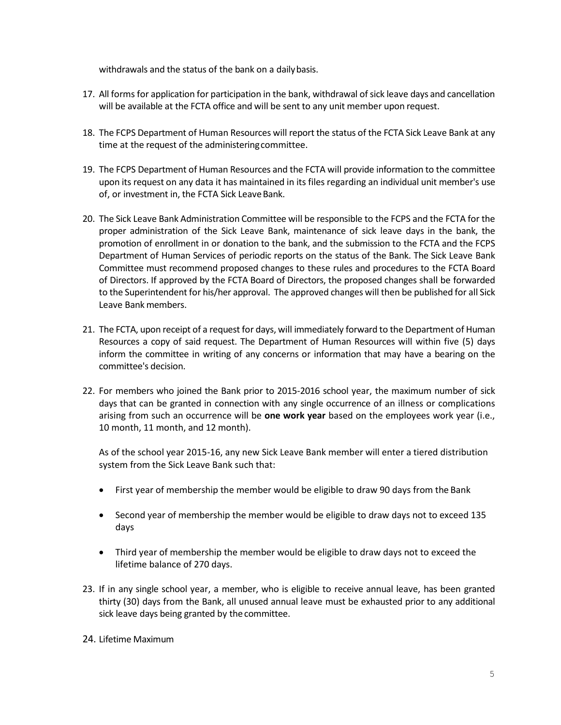withdrawals and the status of the bank on a daily basis.

- 17. All forms for application for participation in the bank, withdrawal ofsick leave days and cancellation will be available at the FCTA office and will be sent to any unit member upon request.
- 18. The FCPS Department of Human Resources will report the status of the FCTA Sick Leave Bank at any time at the request of the administeringcommittee.
- 19. The FCPS Department of Human Resources and the FCTA will provide information to the committee upon its request on any data it has maintained in its files regarding an individual unit member's use of, or investment in, the FCTA Sick Leave Bank.
- 20. The Sick Leave Bank Administration Committee will be responsible to the FCPS and the FCTA for the proper administration of the Sick Leave Bank, maintenance of sick leave days in the bank, the promotion of enrollment in or donation to the bank, and the submission to the FCTA and the FCPS Department of Human Services of periodic reports on the status of the Bank. The Sick Leave Bank Committee must recommend proposed changes to these rules and procedures to the FCTA Board of Directors. If approved by the FCTA Board of Directors, the proposed changes shall be forwarded to the Superintendent for his/her approval. The approved changes will then be published for all Sick Leave Bank members.
- 21. The FCTA, upon receipt of a request for days, will immediately forward to the Department of Human Resources a copy of said request. The Department of Human Resources will within five (5) days inform the committee in writing of any concerns or information that may have a bearing on the committee's decision.
- 22. For members who joined the Bank prior to 2015-2016 school year, the maximum number of sick days that can be granted in connection with any single occurrence of an illness or complications arising from such an occurrence will be **one work year** based on the employees work year (i.e., 10 month, 11 month, and 12 month).

As of the school year 2015-16, any new Sick Leave Bank member will enter a tiered distribution system from the Sick Leave Bank such that:

- First year of membership the member would be eligible to draw 90 days from the Bank
- Second year of membership the member would be eligible to draw days not to exceed 135 days
- Third year of membership the member would be eligible to draw days not to exceed the lifetime balance of 270 days.
- 23. If in any single school year, a member, who is eligible to receive annual leave, has been granted thirty (30) days from the Bank, all unused annual leave must be exhausted prior to any additional sick leave days being granted by the committee.

## 24. Lifetime Maximum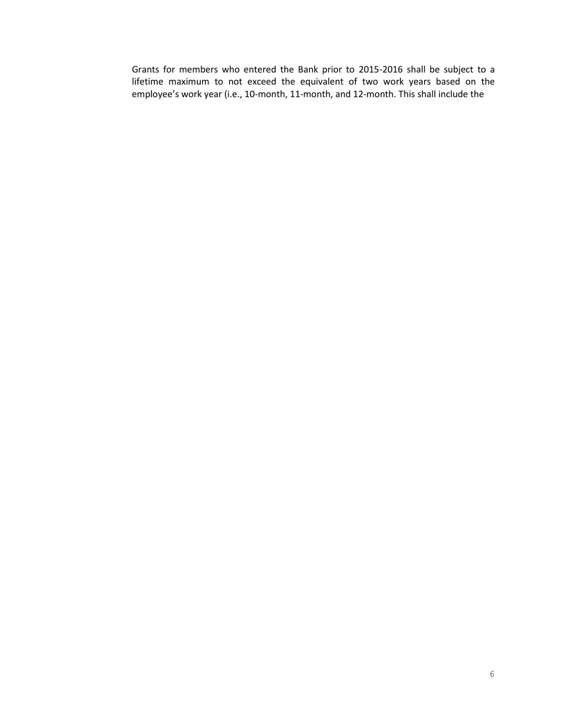Grants for members who entered the Bank prior to 2015-2016 shall be subject to a lifetime maximum to not exceed the equivalent of two work years based on the employee's work year (i.e., 10-month, 11-month, and 12-month. This shall include the